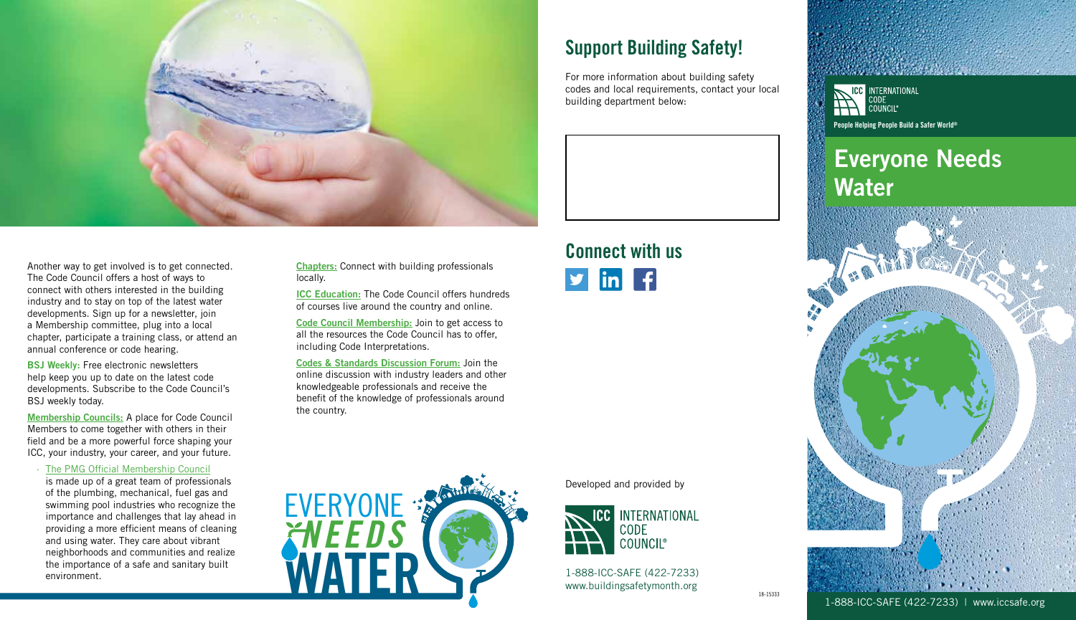

Another way to get involved is to get connected. The Code Council offers a host of ways to connect with others interested in the building industry and to stay on top of the latest water developments. Sign up for a newsletter, join a Membership committee, plug into a local chapter, participate a training class, or attend an annual conference or code hearing.

BSJ Weekly: Free electronic newsletters help keep you up to date on the latest code developments. Subscribe to the Code Council's BSJ weekly today.

[Membership Councils:](https://www.iccsafe.org/icc-membership/membership/membership-councils/) A place for Code Council Members to come together with others in their field and be a more powerful force shaping your ICC, your industry, your career, and your future.

· [The PMG Official Membership Council](https://www.iccsafe.org/membership/membership-councils/pmg-official-membership-council/)

is made up of a great team of professionals of the plumbing, mechanical, fuel gas and swimming pool industries who recognize the importance and challenges that lay ahead in providing a more efficient means of cleaning and using water. They care about vibrant neighborhoods and communities and realize the importance of a safe and sanitary built

[Chapters:](https://www.iccsafe.org/chapters-of-the-international-code-council/) Connect with building professionals locally.

[ICC Education:](http://www.iccsafe.org/education/) The Code Council offers hundreds of courses live around the country and online.

[Code Council Membership:](http://www.iccsafe.org/join-icc-dues-applications/) Join to get access to all the resources the Code Council has to offer, including Code Interpretations.

[Codes & Standards Discussion Forum:](http://www.iccsafe.org/forums/Pages/Home.aspx) Join the online discussion with industry leaders and other knowledgeable professionals and receive the benefit of the knowledge of professionals around the country.



### Support Building Safety!

Connect with us

 $\ln |f|$ 

1-888-ICC-SAFE (422-7233) www.buildingsafetymonth.org

**CODE** 

INTERNATIONAL

Developed and provided by

For more information about building safety codes and local requirements, contact your local building department below:

#### **ICC** INTERNATIONAL COUNCIL® People Helping People Build a Safer World®

## Everyone Needs Water



1-888-ICC-SAFE (422-7233) | www.iccsafe.org